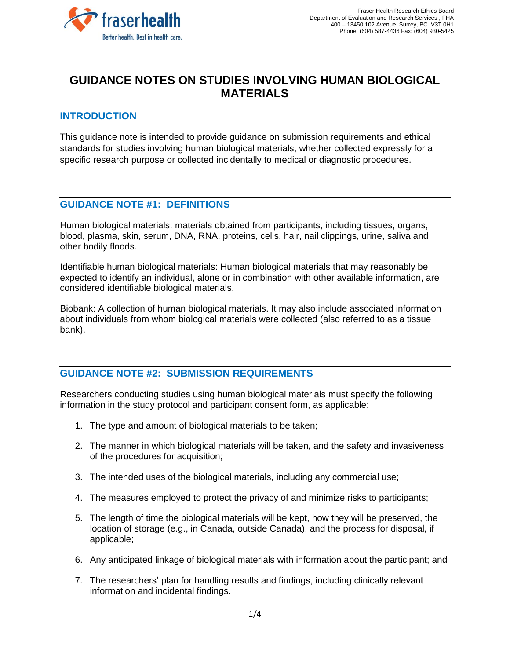

# **GUIDANCE NOTES ON STUDIES INVOLVING HUMAN BIOLOGICAL MATERIALS**

## **INTRODUCTION**

This guidance note is intended to provide guidance on submission requirements and ethical standards for studies involving human biological materials, whether collected expressly for a specific research purpose or collected incidentally to medical or diagnostic procedures.

## **GUIDANCE NOTE #1: DEFINITIONS**

Human biological materials: materials obtained from participants, including tissues, organs, blood, plasma, skin, serum, DNA, RNA, proteins, cells, hair, nail clippings, urine, saliva and other bodily floods.

Identifiable human biological materials: Human biological materials that may reasonably be expected to identify an individual, alone or in combination with other available information, are considered identifiable biological materials.

Biobank: A collection of human biological materials. It may also include associated information about individuals from whom biological materials were collected (also referred to as a tissue bank).

# **GUIDANCE NOTE #2: SUBMISSION REQUIREMENTS**

Researchers conducting studies using human biological materials must specify the following information in the study protocol and participant consent form, as applicable:

- 1. The type and amount of biological materials to be taken;
- 2. The manner in which biological materials will be taken, and the safety and invasiveness of the procedures for acquisition;
- 3. The intended uses of the biological materials, including any commercial use;
- 4. The measures employed to protect the privacy of and minimize risks to participants;
- 5. The length of time the biological materials will be kept, how they will be preserved, the location of storage (e.g., in Canada, outside Canada), and the process for disposal, if applicable;
- 6. Any anticipated linkage of biological materials with information about the participant; and
- 7. The researchers' plan for handling results and findings, including clinically relevant information and incidental findings.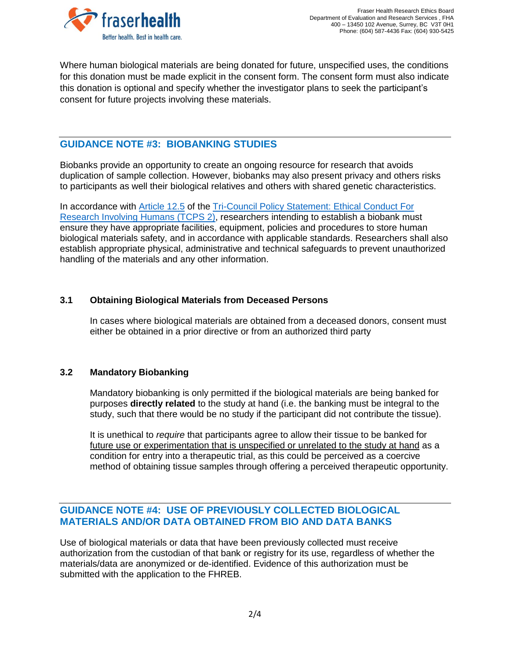

Where human biological materials are being donated for future, unspecified uses, the conditions for this donation must be made explicit in the consent form. The consent form must also indicate this donation is optional and specify whether the investigator plans to seek the participant's consent for future projects involving these materials.

## **GUIDANCE NOTE #3: BIOBANKING STUDIES**

Biobanks provide an opportunity to create an ongoing resource for research that avoids duplication of sample collection. However, biobanks may also present privacy and others risks to participants as well their biological relatives and others with shared genetic characteristics.

In accordance with [Article 12.5](https://ethics.gc.ca/eng/tcps2-eptc2_2018_chapter12-chapitre12.html) of the [Tri-Council Policy Statement: Ethical Conduct For](https://ethics.gc.ca/eng/policy-politique_tcps2-eptc2_2018.html)  [Research Involving Humans \(TCPS](https://ethics.gc.ca/eng/policy-politique_tcps2-eptc2_2018.html) 2), researchers intending to establish a biobank must ensure they have appropriate facilities, equipment, policies and procedures to store human biological materials safety, and in accordance with applicable standards. Researchers shall also establish appropriate physical, administrative and technical safeguards to prevent unauthorized handling of the materials and any other information.

## **3.1 Obtaining Biological Materials from Deceased Persons**

In cases where biological materials are obtained from a deceased donors, consent must either be obtained in a prior directive or from an authorized third party

#### **3.2 Mandatory Biobanking**

Mandatory biobanking is only permitted if the biological materials are being banked for purposes **directly related** to the study at hand (i.e. the banking must be integral to the study, such that there would be no study if the participant did not contribute the tissue).

It is unethical to *require* that participants agree to allow their tissue to be banked for future use or experimentation that is unspecified or unrelated to the study at hand as a condition for entry into a therapeutic trial, as this could be perceived as a coercive method of obtaining tissue samples through offering a perceived therapeutic opportunity.

## **GUIDANCE NOTE #4: USE OF PREVIOUSLY COLLECTED BIOLOGICAL MATERIALS AND/OR DATA OBTAINED FROM BIO AND DATA BANKS**

Use of biological materials or data that have been previously collected must receive authorization from the custodian of that bank or registry for its use, regardless of whether the materials/data are anonymized or de-identified. Evidence of this authorization must be submitted with the application to the FHREB.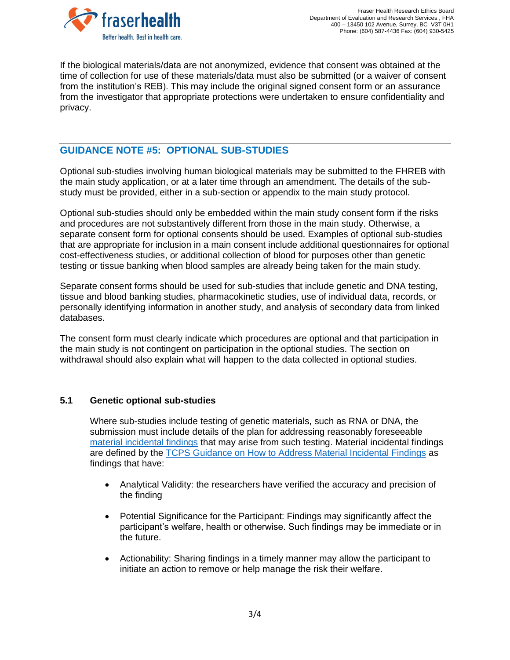

If the biological materials/data are not anonymized, evidence that consent was obtained at the time of collection for use of these materials/data must also be submitted (or a waiver of consent from the institution's REB). This may include the original signed consent form or an assurance from the investigator that appropriate protections were undertaken to ensure confidentiality and privacy.

## **GUIDANCE NOTE #5: OPTIONAL SUB-STUDIES**

Optional sub-studies involving human biological materials may be submitted to the FHREB with the main study application, or at a later time through an amendment. The details of the substudy must be provided, either in a sub-section or appendix to the main study protocol.

Optional sub-studies should only be embedded within the main study consent form if the risks and procedures are not substantively different from those in the main study. Otherwise, a separate consent form for optional consents should be used. Examples of optional sub-studies that are appropriate for inclusion in a main consent include additional questionnaires for optional cost-effectiveness studies, or additional collection of blood for purposes other than genetic testing or tissue banking when blood samples are already being taken for the main study.

Separate consent forms should be used for sub-studies that include genetic and DNA testing, tissue and blood banking studies, pharmacokinetic studies, use of individual data, records, or personally identifying information in another study, and analysis of secondary data from linked databases.

The consent form must clearly indicate which procedures are optional and that participation in the main study is not contingent on participation in the optional studies. The section on withdrawal should also explain what will happen to the data collected in optional studies.

#### **5.1 Genetic optional sub-studies**

Where sub-studies include testing of genetic materials, such as RNA or DNA, the submission must include details of the plan for addressing reasonably foreseeable [material incidental findings](https://ethics.gc.ca/eng/incidental_findings.html) that may arise from such testing. Material incidental findings are defined by the TCPS Guidance [on How to Address Material Incidental Findings](https://ethics.gc.ca/eng/documents/incidental_findings_en.pdf) as findings that have:

- Analytical Validity: the researchers have verified the accuracy and precision of the finding
- Potential Significance for the Participant: Findings may significantly affect the participant's welfare, health or otherwise. Such findings may be immediate or in the future.
- Actionability: Sharing findings in a timely manner may allow the participant to initiate an action to remove or help manage the risk their welfare.